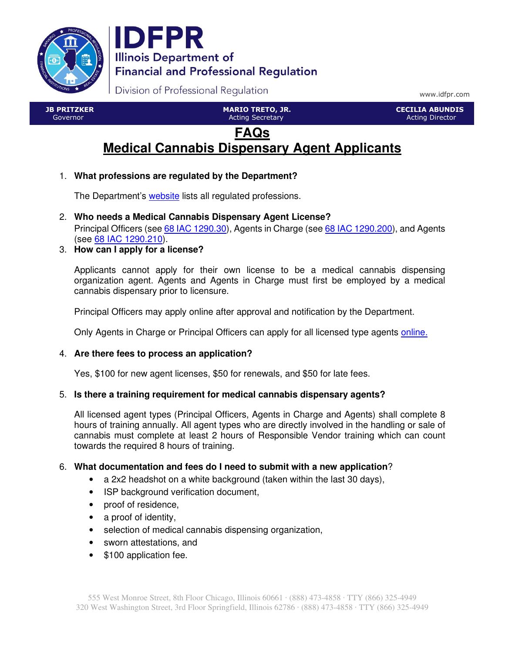



Division of Professional Regulation

www.idfpr.com

 JB PRITZKER Governor

 MARIO TRETO, JR. Acting Secretary

 CECILIA ABUNDIS Acting Director

# **FAQs Medical Cannabis Dispensary Agent Applicants**

# 1. **What professions are regulated by the Department?**

The Department's website lists all regulated professions.

2. **Who needs a Medical Cannabis Dispensary Agent License?**

Principal Officers (see 68 IAC 1290.30), Agents in Charge (see 68 IAC 1290.200), and Agents (see 68 IAC 1290.210).

# 3. **How can I apply for a license?**

Applicants cannot apply for their own license to be a medical cannabis dispensing organization agent. Agents and Agents in Charge must first be employed by a medical cannabis dispensary prior to licensure.

Principal Officers may apply online after approval and notification by the Department.

Only Agents in Charge or Principal Officers can apply for all licensed type agents online.

## 4. **Are there fees to process an application?**

Yes, \$100 for new agent licenses, \$50 for renewals, and \$50 for late fees.

## 5. **Is there a training requirement for medical cannabis dispensary agents?**

All licensed agent types (Principal Officers, Agents in Charge and Agents) shall complete 8 hours of training annually. All agent types who are directly involved in the handling or sale of cannabis must complete at least 2 hours of Responsible Vendor training which can count towards the required 8 hours of training.

## 6. **What documentation and fees do I need to submit with a new application**?

- a 2x2 headshot on a white background (taken within the last 30 days),
- ISP background verification document,
- proof of residence,
- a proof of identity,
- selection of medical cannabis dispensing organization,
- sworn attestations, and
- \$100 application fee.